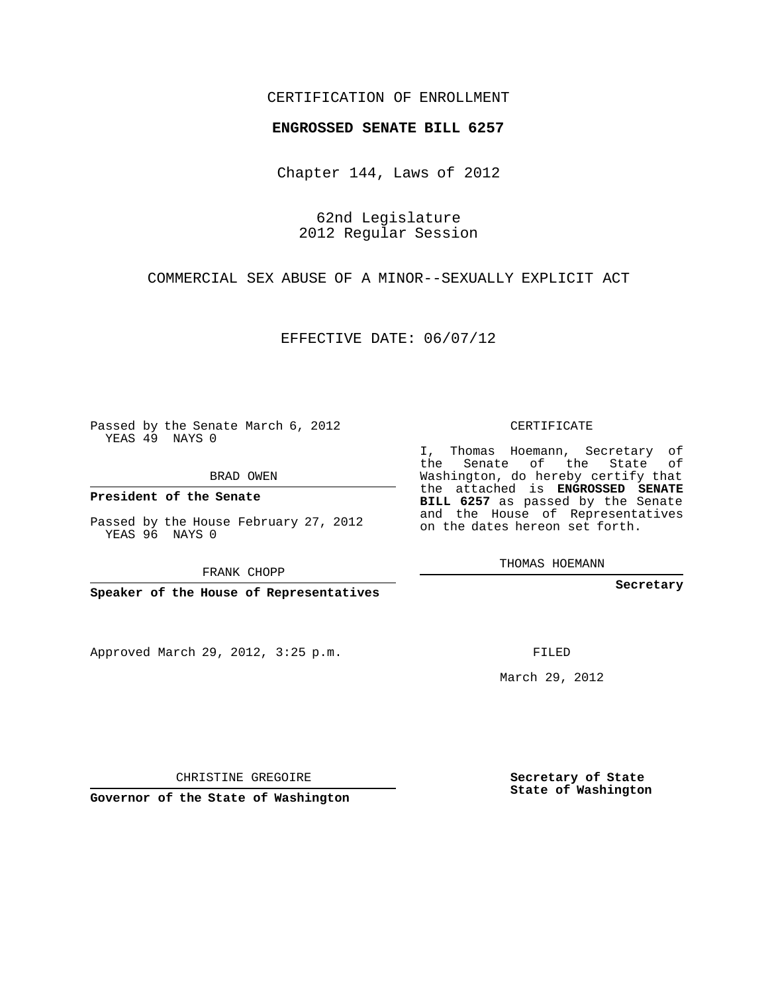## CERTIFICATION OF ENROLLMENT

#### **ENGROSSED SENATE BILL 6257**

Chapter 144, Laws of 2012

62nd Legislature 2012 Regular Session

COMMERCIAL SEX ABUSE OF A MINOR--SEXUALLY EXPLICIT ACT

EFFECTIVE DATE: 06/07/12

Passed by the Senate March 6, 2012 YEAS 49 NAYS 0

BRAD OWEN

**President of the Senate**

Passed by the House February 27, 2012 YEAS 96 NAYS 0

FRANK CHOPP

**Speaker of the House of Representatives**

Approved March 29, 2012, 3:25 p.m.

CERTIFICATE

I, Thomas Hoemann, Secretary of the Senate of the State of Washington, do hereby certify that the attached is **ENGROSSED SENATE BILL 6257** as passed by the Senate and the House of Representatives on the dates hereon set forth.

THOMAS HOEMANN

**Secretary**

FILED

March 29, 2012

**Secretary of State State of Washington**

CHRISTINE GREGOIRE

**Governor of the State of Washington**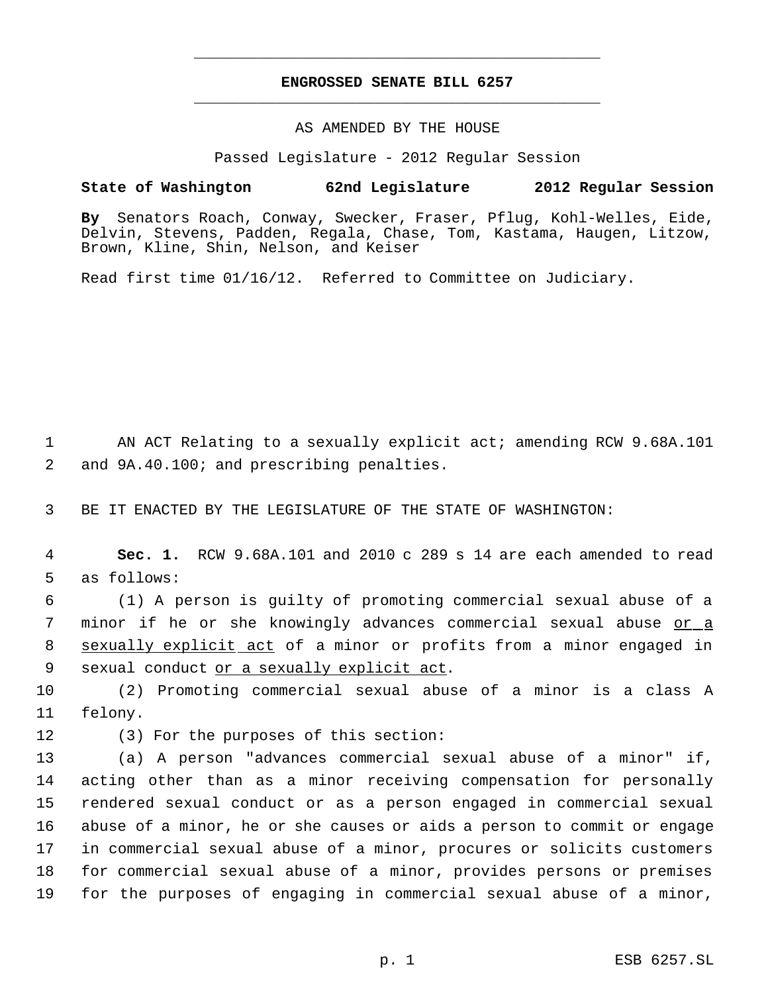# **ENGROSSED SENATE BILL 6257** \_\_\_\_\_\_\_\_\_\_\_\_\_\_\_\_\_\_\_\_\_\_\_\_\_\_\_\_\_\_\_\_\_\_\_\_\_\_\_\_\_\_\_\_\_

\_\_\_\_\_\_\_\_\_\_\_\_\_\_\_\_\_\_\_\_\_\_\_\_\_\_\_\_\_\_\_\_\_\_\_\_\_\_\_\_\_\_\_\_\_

### AS AMENDED BY THE HOUSE

Passed Legislature - 2012 Regular Session

### **State of Washington 62nd Legislature 2012 Regular Session**

**By** Senators Roach, Conway, Swecker, Fraser, Pflug, Kohl-Welles, Eide, Delvin, Stevens, Padden, Regala, Chase, Tom, Kastama, Haugen, Litzow, Brown, Kline, Shin, Nelson, and Keiser

Read first time 01/16/12. Referred to Committee on Judiciary.

 1 AN ACT Relating to a sexually explicit act; amending RCW 9.68A.101 2 and 9A.40.100; and prescribing penalties.

3 BE IT ENACTED BY THE LEGISLATURE OF THE STATE OF WASHINGTON:

 4 **Sec. 1.** RCW 9.68A.101 and 2010 c 289 s 14 are each amended to read 5 as follows:

 6 (1) A person is guilty of promoting commercial sexual abuse of a 7 minor if he or she knowingly advances commercial sexual abuse <u>or a</u> 8 sexually explicit act of a minor or profits from a minor engaged in 9 sexual conduct or a sexually explicit act.

10 (2) Promoting commercial sexual abuse of a minor is a class A 11 felony.

12 (3) For the purposes of this section:

 (a) A person "advances commercial sexual abuse of a minor" if, acting other than as a minor receiving compensation for personally rendered sexual conduct or as a person engaged in commercial sexual abuse of a minor, he or she causes or aids a person to commit or engage in commercial sexual abuse of a minor, procures or solicits customers for commercial sexual abuse of a minor, provides persons or premises for the purposes of engaging in commercial sexual abuse of a minor,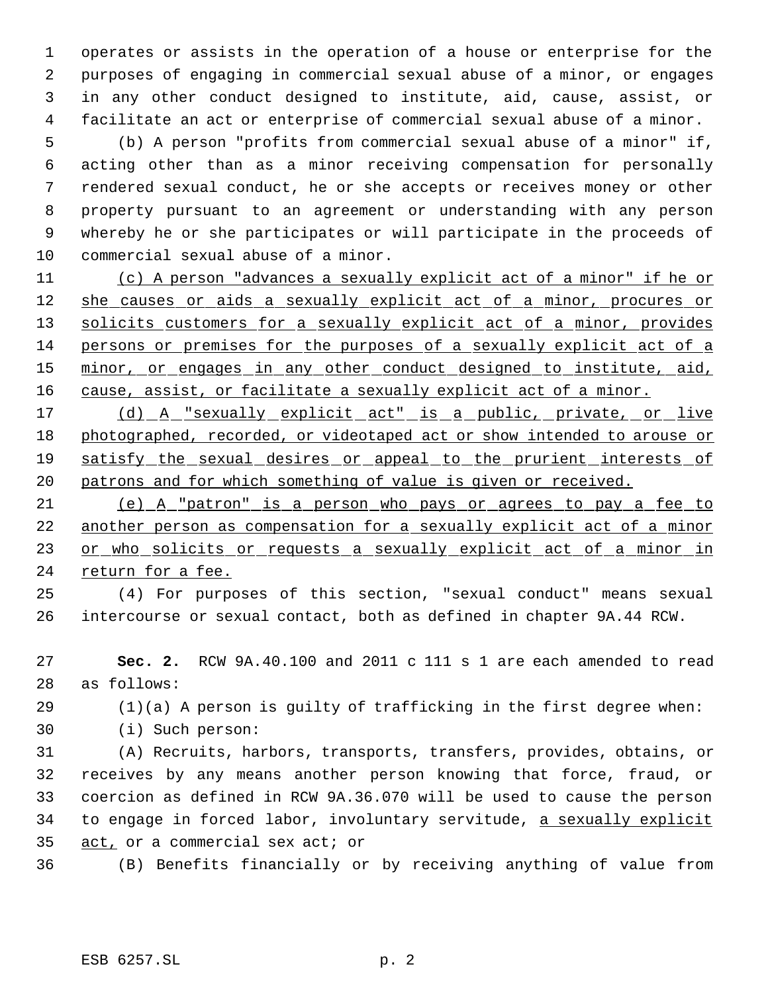operates or assists in the operation of a house or enterprise for the purposes of engaging in commercial sexual abuse of a minor, or engages in any other conduct designed to institute, aid, cause, assist, or facilitate an act or enterprise of commercial sexual abuse of a minor.

 (b) A person "profits from commercial sexual abuse of a minor" if, acting other than as a minor receiving compensation for personally rendered sexual conduct, he or she accepts or receives money or other property pursuant to an agreement or understanding with any person whereby he or she participates or will participate in the proceeds of commercial sexual abuse of a minor.

 (c) A person "advances a sexually explicit act of a minor" if he or 12 she causes or aids a sexually explicit act of a minor, procures or 13 solicits customers for a sexually explicit act of a minor, provides persons or premises for the purposes of a sexually explicit act of a 15 minor, or engages in any other conduct designed to institute, aid, 16 cause, assist, or facilitate a sexually explicit act of a minor.

17 (d) A "sexually explicit act" is a public, private, or live photographed, recorded, or videotaped act or show intended to arouse or 19 satisfy the sexual desires or appeal to the prurient interests of patrons and for which something of value is given or received.

 (e) A "patron" is a person who pays or agrees to pay a fee to another person as compensation for a sexually explicit act of a minor 23 or who solicits or requests a sexually explicit act of a minor in return for a fee.

 (4) For purposes of this section, "sexual conduct" means sexual intercourse or sexual contact, both as defined in chapter 9A.44 RCW.

 **Sec. 2.** RCW 9A.40.100 and 2011 c 111 s 1 are each amended to read as follows:

(1)(a) A person is guilty of trafficking in the first degree when:

(i) Such person:

 (A) Recruits, harbors, transports, transfers, provides, obtains, or receives by any means another person knowing that force, fraud, or coercion as defined in RCW 9A.36.070 will be used to cause the person 34 to engage in forced labor, involuntary servitude, a sexually explicit act, or a commercial sex act; or

(B) Benefits financially or by receiving anything of value from